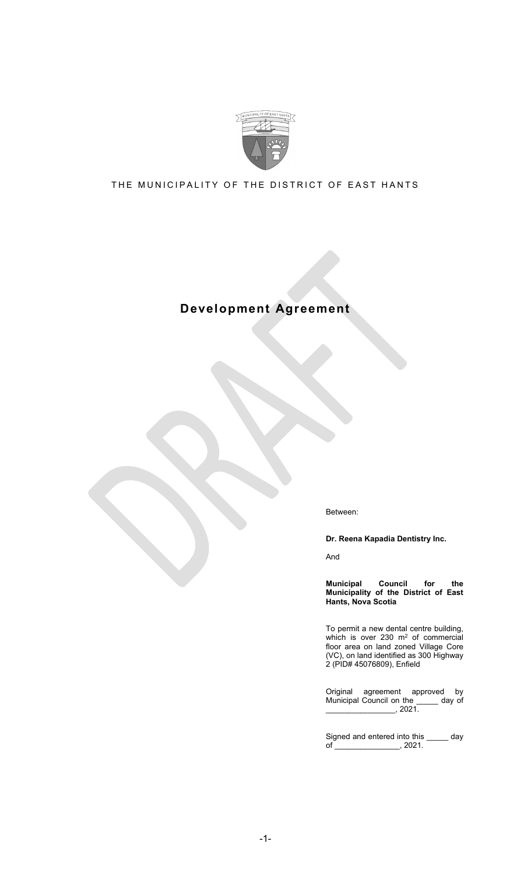

## THE MUNICIPALITY OF THE DISTRICT OF EAST HANTS

# **Development Agreement**

Between:

**Dr. Reena Kapadia Dentistry Inc.**

And

**Municipal Council for the Municipality of the District of East Hants, Nova Scotia**

To permit a new dental centre building, which is over 230  $m<sup>2</sup>$  of commercial floor area on land zoned Village Core (VC), on land identified as 300 Highway 2 (PID# 45076809), Enfield

Original agreement approved by<br>Municipal Council on the \_\_\_\_\_ day of Municipal Council on the  $\frac{1}{2}$ , 2021.

Signed and entered into this \_\_\_\_\_ day of \_\_\_\_\_\_\_\_\_\_\_\_\_\_\_\_\_\_, 2021.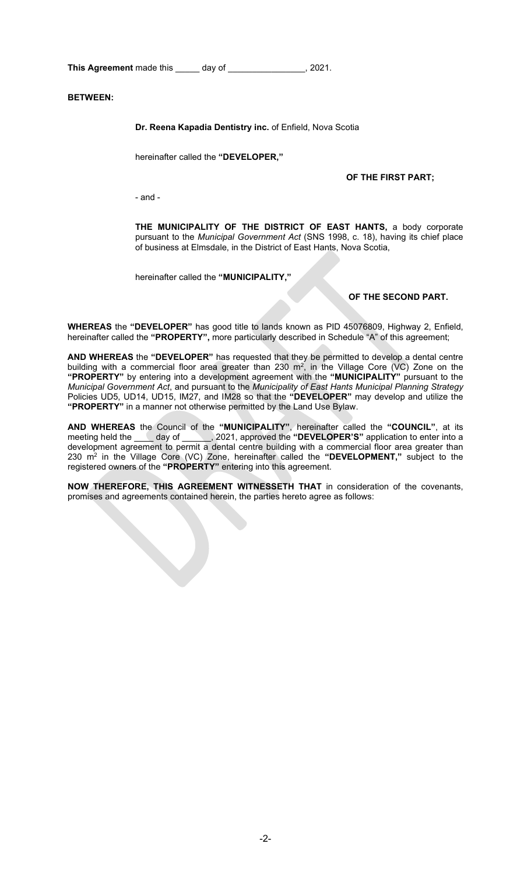**This Agreement** made this \_\_\_\_\_ day of \_\_\_\_\_\_\_\_\_\_\_\_\_\_\_\_, 2021.

**BETWEEN:**

**Dr. Reena Kapadia Dentistry inc.** of Enfield, Nova Scotia

hereinafter called the **"DEVELOPER,"**

#### **OF THE FIRST PART;**

- and -

**THE MUNICIPALITY OF THE DISTRICT OF EAST HANTS,** a body corporate pursuant to the *Municipal Government Act* (SNS 1998, c. 18), having its chief place of business at Elmsdale, in the District of East Hants, Nova Scotia,

hereinafter called the **"MUNICIPALITY,"**

#### **OF THE SECOND PART.**

**WHEREAS** the **"DEVELOPER"** has good title to lands known as PID 45076809, Highway 2, Enfield, hereinafter called the **"PROPERTY",** more particularly described in Schedule "A" of this agreement;

**AND WHEREAS** the **"DEVELOPER"** has requested that they be permitted to develop a dental centre building with a commercial floor area greater than 230  $m^2$ , in the Village Core (VC) Zone on the **"PROPERTY"** by entering into a development agreement with the **"MUNICIPALITY"** pursuant to the *Municipal Government Act*, and pursuant to the *Municipality of East Hants Municipal Planning Strategy* Policies UD5, UD14, UD15, IM27, and IM28 so that the **"DEVELOPER"** may develop and utilize the **"PROPERTY"** in a manner not otherwise permitted by the Land Use Bylaw.

**AND WHEREAS** the Council of the **"MUNICIPALITY"**, hereinafter called the **"COUNCIL"**, at its meeting held the \_\_\_\_ day of \_\_\_\_\_\_, 2021, approved the **"DEVELOPER'S"** application to enter into a development agreement to permit a dental centre building with a commercial floor area greater than 230 m2 in the Village Core (VC) Zone, hereinafter called the **"DEVELOPMENT,"** subject to the registered owners of the **"PROPERTY"** entering into this agreement.

**NOW THEREFORE, THIS AGREEMENT WITNESSETH THAT** in consideration of the covenants, promises and agreements contained herein, the parties hereto agree as follows: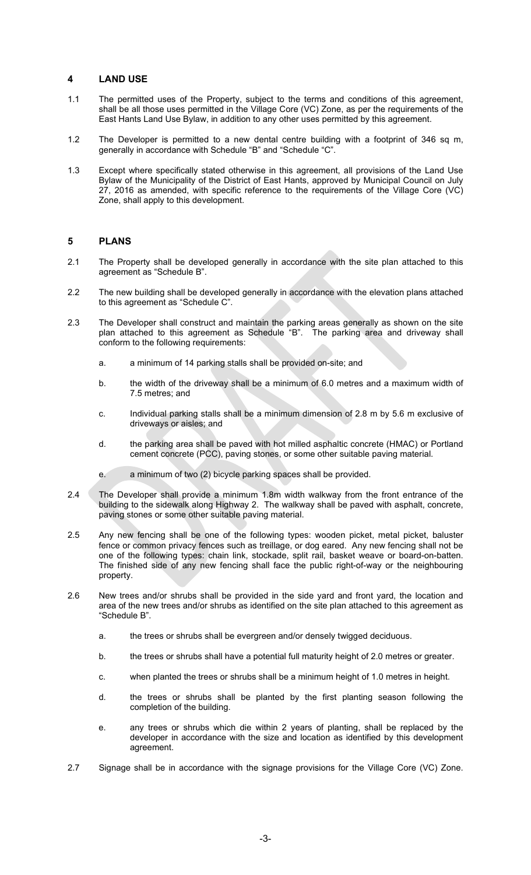### **4 LAND USE**

- 1.1 The permitted uses of the Property, subject to the terms and conditions of this agreement, shall be all those uses permitted in the Village Core (VC) Zone, as per the requirements of the East Hants Land Use Bylaw, in addition to any other uses permitted by this agreement.
- 1.2 The Developer is permitted to a new dental centre building with a footprint of 346 sq m, generally in accordance with Schedule "B" and "Schedule "C".
- 1.3 Except where specifically stated otherwise in this agreement, all provisions of the Land Use Bylaw of the Municipality of the District of East Hants, approved by Municipal Council on July 27, 2016 as amended, with specific reference to the requirements of the Village Core (VC) Zone, shall apply to this development.

## **5 PLANS**

- 2.1 The Property shall be developed generally in accordance with the site plan attached to this agreement as "Schedule B".
- 2.2 The new building shall be developed generally in accordance with the elevation plans attached to this agreement as "Schedule C".
- 2.3 The Developer shall construct and maintain the parking areas generally as shown on the site plan attached to this agreement as Schedule "B". The parking area and driveway shall conform to the following requirements:
	- a. a minimum of 14 parking stalls shall be provided on-site; and
	- b. the width of the driveway shall be a minimum of 6.0 metres and a maximum width of 7.5 metres; and
	- c. Individual parking stalls shall be a minimum dimension of 2.8 m by 5.6 m exclusive of driveways or aisles; and
	- d. the parking area shall be paved with hot milled asphaltic concrete (HMAC) or Portland cement concrete (PCC), paving stones, or some other suitable paving material.
	- e. a minimum of two (2) bicycle parking spaces shall be provided.
- 2.4 The Developer shall provide a minimum 1.8m width walkway from the front entrance of the building to the sidewalk along Highway 2. The walkway shall be paved with asphalt, concrete, paving stones or some other suitable paving material.
- 2.5 Any new fencing shall be one of the following types: wooden picket, metal picket, baluster fence or common privacy fences such as treillage, or dog eared. Any new fencing shall not be one of the following types: chain link, stockade, split rail, basket weave or board-on-batten. The finished side of any new fencing shall face the public right-of-way or the neighbouring property.
- 2.6 New trees and/or shrubs shall be provided in the side yard and front yard, the location and area of the new trees and/or shrubs as identified on the site plan attached to this agreement as "Schedule B".
	- a. the trees or shrubs shall be evergreen and/or densely twigged deciduous.
	- b. the trees or shrubs shall have a potential full maturity height of 2.0 metres or greater.
	- c. when planted the trees or shrubs shall be a minimum height of 1.0 metres in height.
	- d. the trees or shrubs shall be planted by the first planting season following the completion of the building.
	- e. any trees or shrubs which die within 2 years of planting, shall be replaced by the developer in accordance with the size and location as identified by this development agreement.
- 2.7 Signage shall be in accordance with the signage provisions for the Village Core (VC) Zone.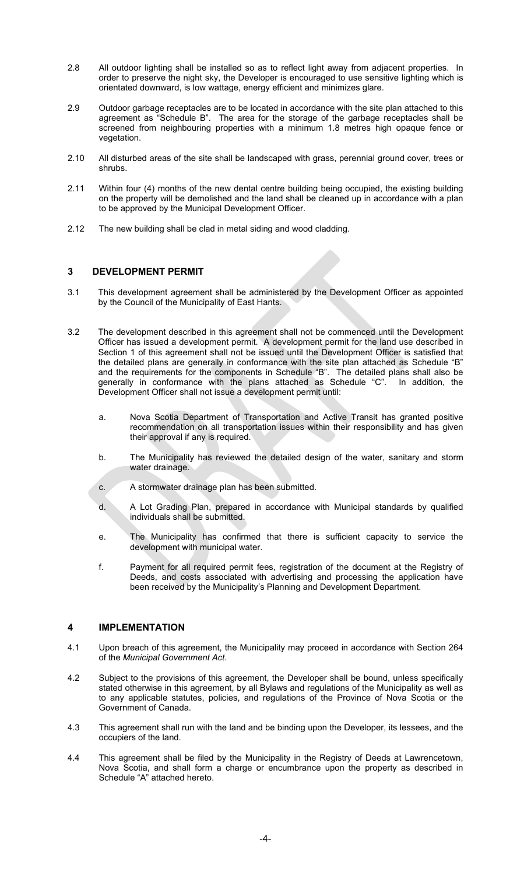- 2.8 All outdoor lighting shall be installed so as to reflect light away from adjacent properties. In order to preserve the night sky, the Developer is encouraged to use sensitive lighting which is orientated downward, is low wattage, energy efficient and minimizes glare.
- 2.9 Outdoor garbage receptacles are to be located in accordance with the site plan attached to this agreement as "Schedule B". The area for the storage of the garbage receptacles shall be screened from neighbouring properties with a minimum 1.8 metres high opaque fence or vegetation.
- 2.10 All disturbed areas of the site shall be landscaped with grass, perennial ground cover, trees or shrubs.
- 2.11 Within four (4) months of the new dental centre building being occupied, the existing building on the property will be demolished and the land shall be cleaned up in accordance with a plan to be approved by the Municipal Development Officer.
- 2.12 The new building shall be clad in metal siding and wood cladding.

## **3 DEVELOPMENT PERMIT**

- 3.1 This development agreement shall be administered by the Development Officer as appointed by the Council of the Municipality of East Hants.
- 3.2 The development described in this agreement shall not be commenced until the Development Officer has issued a development permit. A development permit for the land use described in Section 1 of this agreement shall not be issued until the Development Officer is satisfied that the detailed plans are generally in conformance with the site plan attached as Schedule "B" and the requirements for the components in Schedule "B". The detailed plans shall also be generally in conformance with the plans attached as Schedule "C". In addition, the Development Officer shall not issue a development permit until:
	- a. Nova Scotia Department of Transportation and Active Transit has granted positive recommendation on all transportation issues within their responsibility and has given their approval if any is required.
	- b. The Municipality has reviewed the detailed design of the water, sanitary and storm water drainage.
	- c. A stormwater drainage plan has been submitted.
	- d. A Lot Grading Plan, prepared in accordance with Municipal standards by qualified individuals shall be submitted.
	- e. The Municipality has confirmed that there is sufficient capacity to service the development with municipal water.
	- f. Payment for all required permit fees, registration of the document at the Registry of Deeds, and costs associated with advertising and processing the application have been received by the Municipality's Planning and Development Department.

## **4 IMPLEMENTATION**

- 4.1 Upon breach of this agreement, the Municipality may proceed in accordance with Section 264 of the *Municipal Government Act*.
- 4.2 Subject to the provisions of this agreement, the Developer shall be bound, unless specifically stated otherwise in this agreement, by all Bylaws and regulations of the Municipality as well as to any applicable statutes, policies, and regulations of the Province of Nova Scotia or the Government of Canada.
- 4.3 This agreement shall run with the land and be binding upon the Developer, its lessees, and the occupiers of the land.
- 4.4 This agreement shall be filed by the Municipality in the Registry of Deeds at Lawrencetown, Nova Scotia, and shall form a charge or encumbrance upon the property as described in Schedule "A" attached hereto.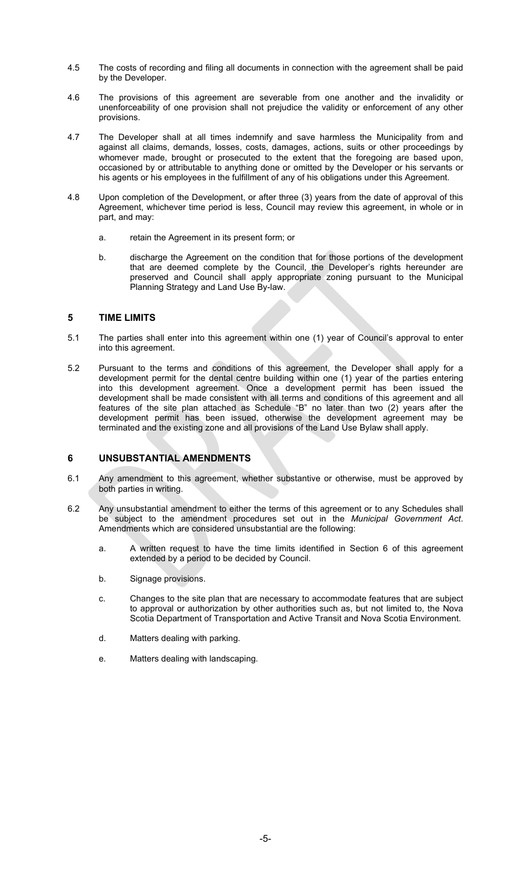- 4.5 The costs of recording and filing all documents in connection with the agreement shall be paid by the Developer.
- 4.6 The provisions of this agreement are severable from one another and the invalidity or unenforceability of one provision shall not prejudice the validity or enforcement of any other provisions.
- 4.7 The Developer shall at all times indemnify and save harmless the Municipality from and against all claims, demands, losses, costs, damages, actions, suits or other proceedings by whomever made, brought or prosecuted to the extent that the foregoing are based upon, occasioned by or attributable to anything done or omitted by the Developer or his servants or his agents or his employees in the fulfillment of any of his obligations under this Agreement.
- 4.8 Upon completion of the Development, or after three (3) years from the date of approval of this Agreement, whichever time period is less, Council may review this agreement, in whole or in part, and may:
	- a. retain the Agreement in its present form; or
	- b. discharge the Agreement on the condition that for those portions of the development that are deemed complete by the Council, the Developer's rights hereunder are preserved and Council shall apply appropriate zoning pursuant to the Municipal Planning Strategy and Land Use By-law.

## **5 TIME LIMITS**

- 5.1 The parties shall enter into this agreement within one (1) year of Council's approval to enter into this agreement.
- 5.2 Pursuant to the terms and conditions of this agreement, the Developer shall apply for a development permit for the dental centre building within one (1) year of the parties entering into this development agreement. Once a development permit has been issued the development shall be made consistent with all terms and conditions of this agreement and all features of the site plan attached as Schedule "B" no later than two (2) years after the development permit has been issued, otherwise the development agreement may be terminated and the existing zone and all provisions of the Land Use Bylaw shall apply.

#### **6 UNSUBSTANTIAL AMENDMENTS**

- 6.1 Any amendment to this agreement, whether substantive or otherwise, must be approved by both parties in writing.
- 6.2 Any unsubstantial amendment to either the terms of this agreement or to any Schedules shall be subject to the amendment procedures set out in the *Municipal Government Act*. Amendments which are considered unsubstantial are the following:
	- a. A written request to have the time limits identified in Section 6 of this agreement extended by a period to be decided by Council.
	- b. Signage provisions.
	- c. Changes to the site plan that are necessary to accommodate features that are subject to approval or authorization by other authorities such as, but not limited to, the Nova Scotia Department of Transportation and Active Transit and Nova Scotia Environment.
	- d. Matters dealing with parking.
	- e. Matters dealing with landscaping.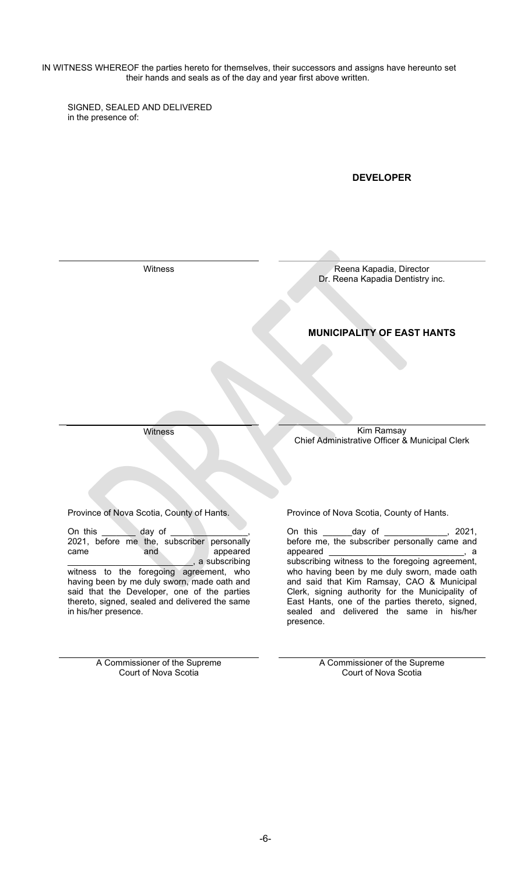IN WITNESS WHEREOF the parties hereto for themselves, their successors and assigns have hereunto set their hands and seals as of the day and year first above written.

SIGNED, SEALED AND DELIVERED in the presence of:

## **DEVELOPER**

Witness **Reena Kapadia, Director** Dr. Reena Kapadia Dentistry inc.

## **MUNICIPALITY OF EAST HANTS**

Witness Kim Ramsay Chief Administrative Officer & Municipal Clerk

Province of Nova Scotia, County of Hants. Province of Nova Scotia, County of Hants.

On this \_\_\_\_\_\_\_\_ day of \_\_\_\_\_\_\_\_\_\_\_\_\_\_, 2021, before me the, subscriber personally came and appeared \_\_\_\_\_\_\_\_\_\_\_\_\_\_\_\_\_\_\_\_\_\_\_\_\_\_, a subscribing witness to the foregoing agreement, who having been by me duly sworn, made oath and said that the Developer, one of the parties thereto, signed, sealed and delivered the same in his/her presence.

> A Commissioner of the Supreme Court of Nova Scotia

On this \_\_\_\_\_\_day of \_\_\_\_\_\_\_\_\_\_\_\_\_, 2021, before me, the subscriber personally came and appeared and the set of the set of the set of the set of the set of the set of the set of the set of the set o subscribing witness to the foregoing agreement, who having been by me duly sworn, made oath and said that Kim Ramsay, CAO & Municipal Clerk, signing authority for the Municipality of East Hants, one of the parties thereto, signed, sealed and delivered the same in his/her presence.

> A Commissioner of the Supreme Court of Nova Scotia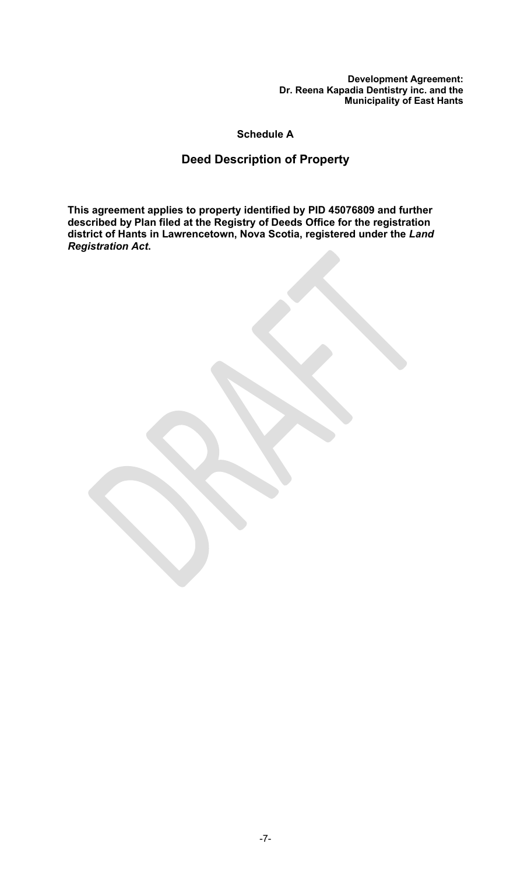**Schedule A**

# **Deed Description of Property**

**This agreement applies to property identified by PID 45076809 and further described by Plan filed at the Registry of Deeds Office for the registration district of Hants in Lawrencetown, Nova Scotia, registered under the** *Land Registration Act***.**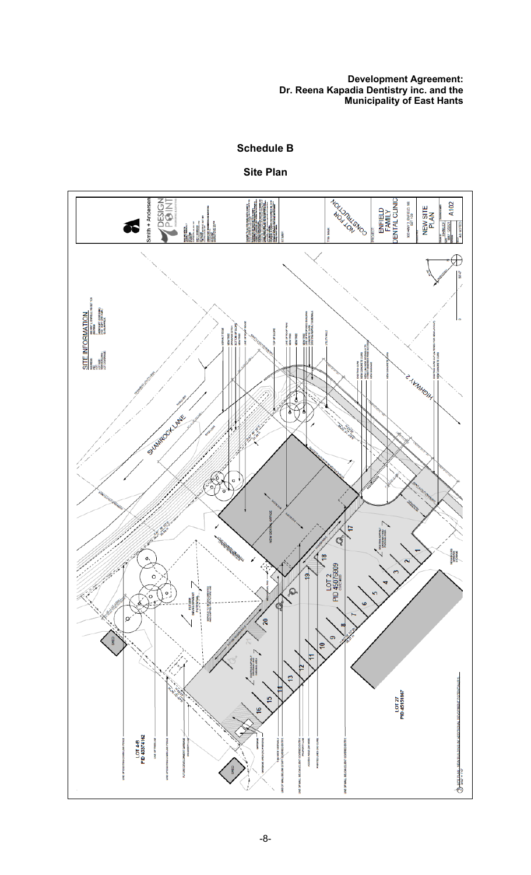**Schedule B**

**Site Plan**

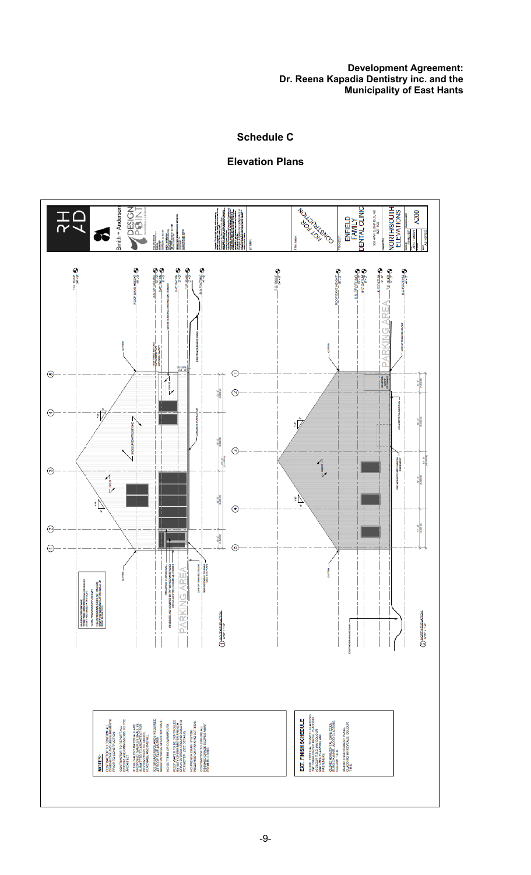## **Schedule C**

## **Elevation Plans**